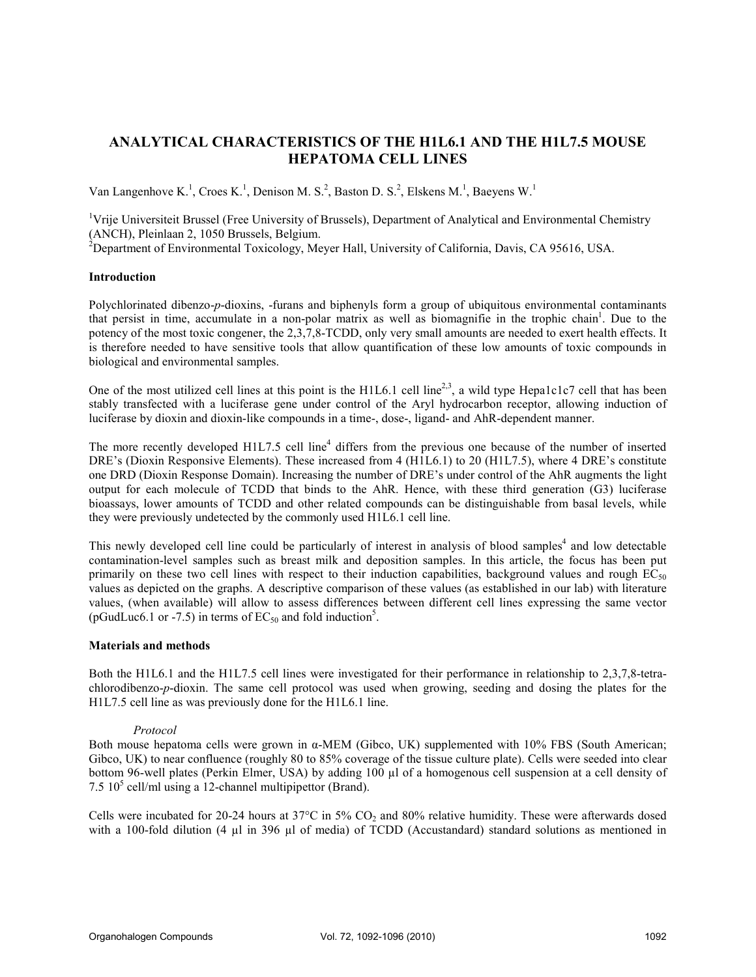# ANALYTICAL CHARACTERISTICS OF THE H1L6.1 AND THE H1L7.5 MOUSE HEPATOMA CELL LINES

Van Langenhove K.<sup>1</sup>, Croes K.<sup>1</sup>, Denison M. S.<sup>2</sup>, Baston D. S.<sup>2</sup>, Elskens M.<sup>1</sup>, Baeyens W.<sup>1</sup>

<sup>1</sup>Vrije Universiteit Brussel (Free University of Brussels), Department of Analytical and Environmental Chemistry (ANCH), Pleinlaan 2, 1050 Brussels, Belgium.

 $2^{2}$ Department of Environmental Toxicology, Meyer Hall, University of California, Davis, CA 95616, USA.

## Introduction

Polychlorinated dibenzo-p-dioxins, -furans and biphenyls form a group of ubiquitous environmental contaminants that persist in time, accumulate in a non-polar matrix as well as biomagnifie in the trophic chain<sup>1</sup>. Due to the potency of the most toxic congener, the 2,3,7,8-TCDD, only very small amounts are needed to exert health effects. It is therefore needed to have sensitive tools that allow quantification of these low amounts of toxic compounds in biological and environmental samples.

One of the most utilized cell lines at this point is the H1L6.1 cell line<sup>2,3</sup>, a wild type Hepa1c1c7 cell that has been stably transfected with a luciferase gene under control of the Aryl hydrocarbon receptor, allowing induction of luciferase by dioxin and dioxin-like compounds in a time-, dose-, ligand- and AhR-dependent manner.

The more recently developed  $H1L7.5$  cell line<sup>4</sup> differs from the previous one because of the number of inserted DRE's (Dioxin Responsive Elements). These increased from 4 (H1L6.1) to 20 (H1L7.5), where 4 DRE's constitute one DRD (Dioxin Response Domain). Increasing the number of DRE's under control of the AhR augments the light output for each molecule of TCDD that binds to the AhR. Hence, with these third generation (G3) luciferase bioassays, lower amounts of TCDD and other related compounds can be distinguishable from basal levels, while they were previously undetected by the commonly used H1L6.1 cell line.

This newly developed cell line could be particularly of interest in analysis of blood samples<sup>4</sup> and low detectable contamination-level samples such as breast milk and deposition samples. In this article, the focus has been put primarily on these two cell lines with respect to their induction capabilities, background values and rough  $EC_{50}$ values as depicted on the graphs. A descriptive comparison of these values (as established in our lab) with literature values, (when available) will allow to assess differences between different cell lines expressing the same vector (pGudLuc6.1 or -7.5) in terms of  $EC_{50}$  and fold induction<sup>5</sup>.

## Materials and methods

Both the H1L6.1 and the H1L7.5 cell lines were investigated for their performance in relationship to 2,3,7,8-tetrachlorodibenzo-p-dioxin. The same cell protocol was used when growing, seeding and dosing the plates for the H1L7.5 cell line as was previously done for the H1L6.1 line.

### Protocol

Both mouse hepatoma cells were grown in α-MEM (Gibco, UK) supplemented with 10% FBS (South American; Gibco, UK) to near confluence (roughly 80 to 85% coverage of the tissue culture plate). Cells were seeded into clear bottom 96-well plates (Perkin Elmer, USA) by adding 100 µl of a homogenous cell suspension at a cell density of  $7.5\,10^5$  cell/ml using a 12-channel multipipettor (Brand).

Cells were incubated for 20-24 hours at  $37^{\circ}$ C in  $5\%$  CO<sub>2</sub> and 80% relative humidity. These were afterwards dosed with a 100-fold dilution (4 µl in 396 µl of media) of TCDD (Accustandard) standard solutions as mentioned in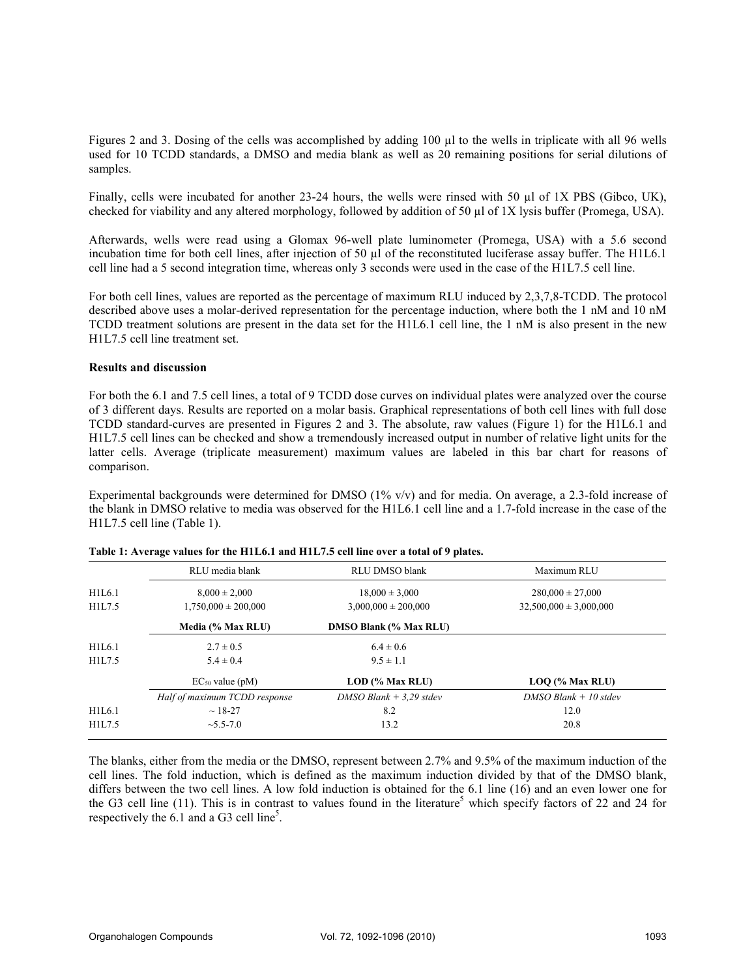Figures 2 and 3. Dosing of the cells was accomplished by adding 100 µl to the wells in triplicate with all 96 wells used for 10 TCDD standards, a DMSO and media blank as well as 20 remaining positions for serial dilutions of samples.

Finally, cells were incubated for another 23-24 hours, the wells were rinsed with 50 µl of 1X PBS (Gibco, UK), checked for viability and any altered morphology, followed by addition of 50 µl of 1X lysis buffer (Promega, USA).

Afterwards, wells were read using a Glomax 96-well plate luminometer (Promega, USA) with a 5.6 second incubation time for both cell lines, after injection of 50 µl of the reconstituted luciferase assay buffer. The H1L6.1 cell line had a 5 second integration time, whereas only 3 seconds were used in the case of the H1L7.5 cell line.

For both cell lines, values are reported as the percentage of maximum RLU induced by 2,3,7,8-TCDD. The protocol described above uses a molar-derived representation for the percentage induction, where both the 1 nM and 10 nM TCDD treatment solutions are present in the data set for the H1L6.1 cell line, the 1 nM is also present in the new H1L7.5 cell line treatment set.

### Results and discussion

For both the 6.1 and 7.5 cell lines, a total of 9 TCDD dose curves on individual plates were analyzed over the course of 3 different days. Results are reported on a molar basis. Graphical representations of both cell lines with full dose TCDD standard-curves are presented in Figures 2 and 3. The absolute, raw values (Figure 1) for the H1L6.1 and H1L7.5 cell lines can be checked and show a tremendously increased output in number of relative light units for the latter cells. Average (triplicate measurement) maximum values are labeled in this bar chart for reasons of comparison.

Experimental backgrounds were determined for DMSO (1% v/v) and for media. On average, a 2.3-fold increase of the blank in DMSO relative to media was observed for the H1L6.1 cell line and a 1.7-fold increase in the case of the H1L7.5 cell line (Table 1).

|        | RLU media blank               | <b>RLU DMSO blank</b>         | Maximum RLU                |
|--------|-------------------------------|-------------------------------|----------------------------|
| H1L6.1 | $8,000 \pm 2,000$             | $18,000 \pm 3,000$            | $280,000 \pm 27,000$       |
| H1L7.5 | $1,750,000 \pm 200,000$       | $3,000,000 \pm 200,000$       | $32,500,000 \pm 3,000,000$ |
|        | Media (% Max RLU)             | <b>DMSO Blank (% Max RLU)</b> |                            |
| H1L6.1 | $2.7 \pm 0.5$                 | $6.4 \pm 0.6$                 |                            |
| H1L7.5 | $5.4 \pm 0.4$                 | $9.5 \pm 1.1$                 |                            |
|        | $EC_{50}$ value (pM)          | LOD (% Max RLU)               | $LOQ$ (% Max RLU)          |
|        | Half of maximum TCDD response | $DMSO$ Blank + 3,29 stdev     | $DMSO$ Blank + 10 stdev    |
| H1L6.1 | $~18-27$                      | 8.2                           | 12.0                       |
| H1L7.5 | $\sim 5.5 - 7.0$              | 13.2                          | 20.8                       |

The blanks, either from the media or the DMSO, represent between 2.7% and 9.5% of the maximum induction of the cell lines. The fold induction, which is defined as the maximum induction divided by that of the DMSO blank, differs between the two cell lines. A low fold induction is obtained for the 6.1 line (16) and an even lower one for the G3 cell line  $(11)$ . This is in contrast to values found in the literature<sup>5</sup> which specify factors of 22 and 24 for respectively the  $6.1$  and a G3 cell line<sup>5</sup>.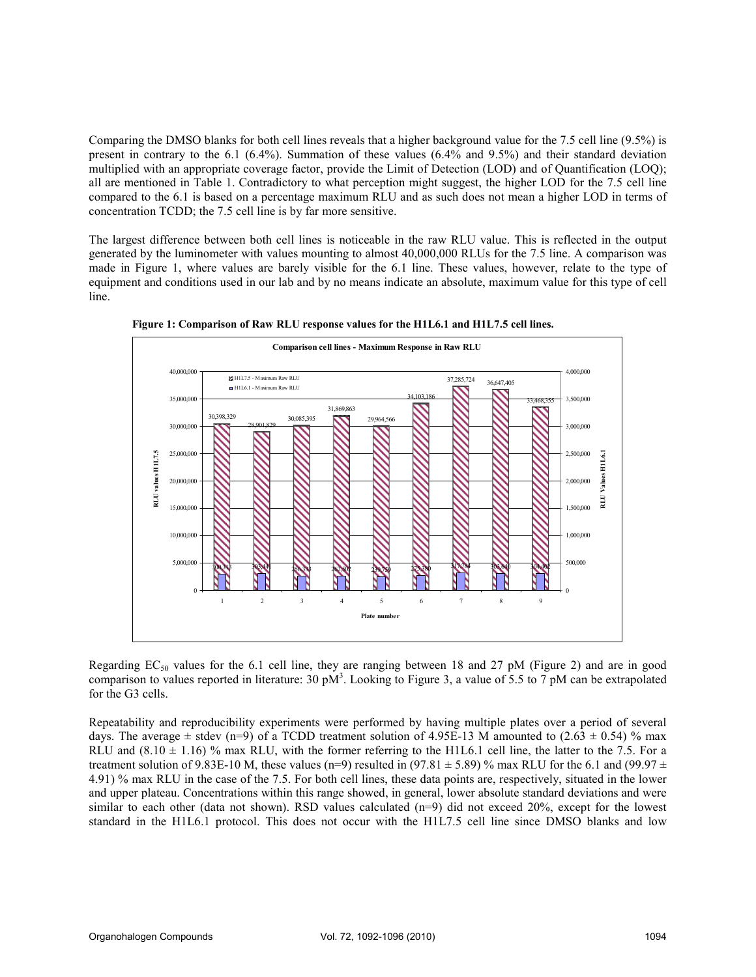Comparing the DMSO blanks for both cell lines reveals that a higher background value for the 7.5 cell line (9.5%) is present in contrary to the 6.1 (6.4%). Summation of these values (6.4% and 9.5%) and their standard deviation multiplied with an appropriate coverage factor, provide the Limit of Detection (LOD) and of Quantification (LOQ); all are mentioned in Table 1. Contradictory to what perception might suggest, the higher LOD for the 7.5 cell line compared to the 6.1 is based on a percentage maximum RLU and as such does not mean a higher LOD in terms of concentration TCDD; the 7.5 cell line is by far more sensitive.

The largest difference between both cell lines is noticeable in the raw RLU value. This is reflected in the output generated by the luminometer with values mounting to almost 40,000,000 RLUs for the 7.5 line. A comparison was made in Figure 1, where values are barely visible for the 6.1 line. These values, however, relate to the type of equipment and conditions used in our lab and by no means indicate an absolute, maximum value for this type of cell line.



Figure 1: Comparison of Raw RLU response values for the H1L6.1 and H1L7.5 cell lines.

Regarding  $EC_{50}$  values for the 6.1 cell line, they are ranging between 18 and 27 pM (Figure 2) and are in good comparison to values reported in literature: 30  $pM<sup>3</sup>$ . Looking to Figure 3, a value of 5.5 to 7  $pM$  can be extrapolated for the G3 cells.

Repeatability and reproducibility experiments were performed by having multiple plates over a period of several days. The average  $\pm$  stdev (n=9) of a TCDD treatment solution of 4.95E-13 M amounted to (2.63  $\pm$  0.54) % max RLU and  $(8.10 \pm 1.16)$  % max RLU, with the former referring to the H1L6.1 cell line, the latter to the 7.5. For a treatment solution of 9.83E-10 M, these values (n=9) resulted in (97.81  $\pm$  5.89) % max RLU for the 6.1 and (99.97  $\pm$ 4.91) % max RLU in the case of the 7.5. For both cell lines, these data points are, respectively, situated in the lower and upper plateau. Concentrations within this range showed, in general, lower absolute standard deviations and were similar to each other (data not shown). RSD values calculated (n=9) did not exceed 20%, except for the lowest standard in the H1L6.1 protocol. This does not occur with the H1L7.5 cell line since DMSO blanks and low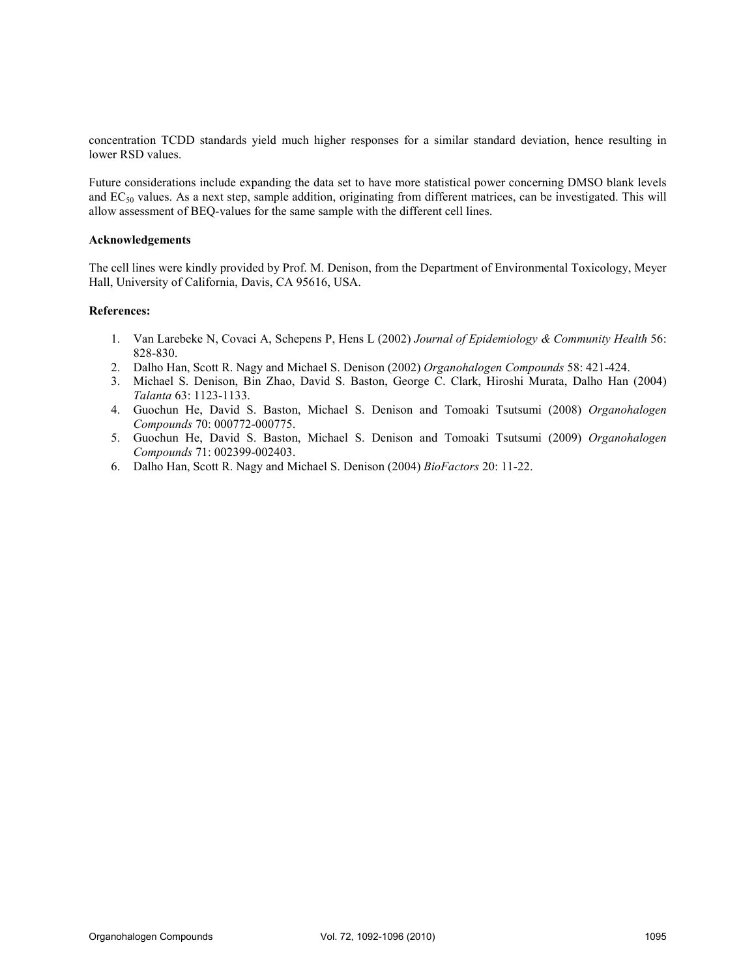concentration TCDD standards yield much higher responses for a similar standard deviation, hence resulting in lower RSD values.

Future considerations include expanding the data set to have more statistical power concerning DMSO blank levels and EC<sub>50</sub> values. As a next step, sample addition, originating from different matrices, can be investigated. This will allow assessment of BEQ-values for the same sample with the different cell lines.

### Acknowledgements

The cell lines were kindly provided by Prof. M. Denison, from the Department of Environmental Toxicology, Meyer Hall, University of California, Davis, CA 95616, USA.

#### References:

- 1. Van Larebeke N, Covaci A, Schepens P, Hens L (2002) Journal of Epidemiology & Community Health 56: 828-830.
- 2. Dalho Han, Scott R. Nagy and Michael S. Denison (2002) Organohalogen Compounds 58: 421-424.
- 3. Michael S. Denison, Bin Zhao, David S. Baston, George C. Clark, Hiroshi Murata, Dalho Han (2004) Talanta 63: 1123-1133.
- 4. Guochun He, David S. Baston, Michael S. Denison and Tomoaki Tsutsumi (2008) Organohalogen Compounds 70: 000772-000775.
- 5. Guochun He, David S. Baston, Michael S. Denison and Tomoaki Tsutsumi (2009) Organohalogen Compounds 71: 002399-002403.
- 6. Dalho Han, Scott R. Nagy and Michael S. Denison (2004) BioFactors 20: 11-22.